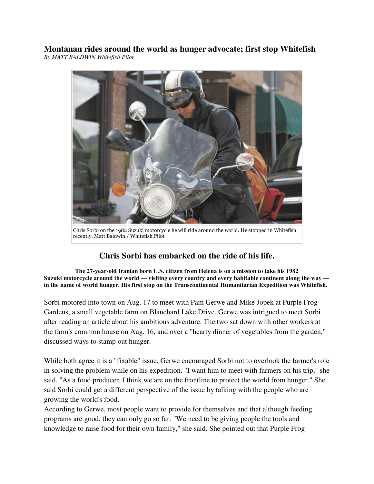**Montanan rides around the world as hunger advocate; first stop Whitefish** *By MATT BALDWIN Whitefish Pilot*



Chris Sorbi on the 1982 Suzuki motorcycle he will ride around the world. He stopped in Whitefish recently. Matt Baldwin / Whitefish Pilot

## **Chris Sorbi has embarked on the ride of his life.**

**The 27-year-old Iranian born U.S. citizen from Helena is on a mission to take his 1982 Suzuki motorcycle around the world — visiting every country and every habitable continent along the way in the name of world hunger. His first stop on the Transcontinental Humanitarian Expedition was Whitefish.**

Sorbi motored into town on Aug. 17 to meet with Pam Gerwe and Mike Jopek at Purple Frog Gardens, a small vegetable farm on Blanchard Lake Drive. Gerwe was intrigued to meet Sorbi after reading an article about his ambitious adventure. The two sat down with other workers at the farm's common house on Aug. 16, and over a "hearty dinner of vegetables from the garden," discussed ways to stamp out hunger.

While both agree it is a "fixable" issue, Gerwe encouraged Sorbi not to overlook the farmer's role in solving the problem while on his expedition. "I want him to meet with farmers on his trip," she said. "As a food producer, I think we are on the frontline to protect the world from hunger." She said Sorbi could get a different perspective of the issue by talking with the people who are growing the world's food.

According to Gerwe, most people want to provide for themselves and that although feeding programs are good, they can only go so far. "We need to be giving people the tools and knowledge to raise food for their own family," she said. She pointed out that Purple Frog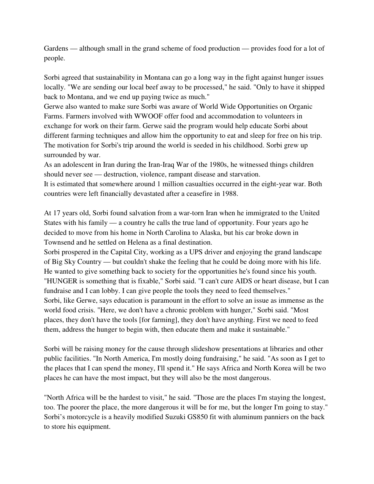Gardens — although small in the grand scheme of food production — provides food for a lot of people.

Sorbi agreed that sustainability in Montana can go a long way in the fight against hunger issues locally. "We are sending our local beef away to be processed," he said. "Only to have it shipped back to Montana, and we end up paying twice as much."

Gerwe also wanted to make sure Sorbi was aware of World Wide Opportunities on Organic Farms. Farmers involved with WWOOF offer food and accommodation to volunteers in exchange for work on their farm. Gerwe said the program would help educate Sorbi about different farming techniques and allow him the opportunity to eat and sleep for free on his trip. The motivation for Sorbi's trip around the world is seeded in his childhood. Sorbi grew up surrounded by war.

As an adolescent in Iran during the Iran-Iraq War of the 1980s, he witnessed things children should never see — destruction, violence, rampant disease and starvation.

It is estimated that somewhere around 1 million casualties occurred in the eight-year war. Both countries were left financially devastated after a ceasefire in 1988.

At 17 years old, Sorbi found salvation from a war-torn Iran when he immigrated to the United States with his family — a country he calls the true land of opportunity. Four years ago he decided to move from his home in North Carolina to Alaska, but his car broke down in Townsend and he settled on Helena as a final destination.

Sorbi prospered in the Capital City, working as a UPS driver and enjoying the grand landscape of Big Sky Country — but couldn't shake the feeling that he could be doing more with his life. He wanted to give something back to society for the opportunities he's found since his youth. "HUNGER is something that is fixable," Sorbi said. "I can't cure AIDS or heart disease, but I can fundraise and I can lobby. I can give people the tools they need to feed themselves." Sorbi, like Gerwe, says education is paramount in the effort to solve an issue as immense as the world food crisis. "Here, we don't have a chronic problem with hunger," Sorbi said. "Most places, they don't have the tools [for farming], they don't have anything. First we need to feed them, address the hunger to begin with, then educate them and make it sustainable."

Sorbi will be raising money for the cause through slideshow presentations at libraries and other public facilities. "In North America, I'm mostly doing fundraising," he said. "As soon as I get to the places that I can spend the money, I'll spend it." He says Africa and North Korea will be two places he can have the most impact, but they will also be the most dangerous.

"North Africa will be the hardest to visit," he said. "Those are the places I'm staying the longest, too. The poorer the place, the more dangerous it will be for me, but the longer I'm going to stay." Sorbi's motorcycle is a heavily modified Suzuki GS850 fit with aluminum panniers on the back to store his equipment.